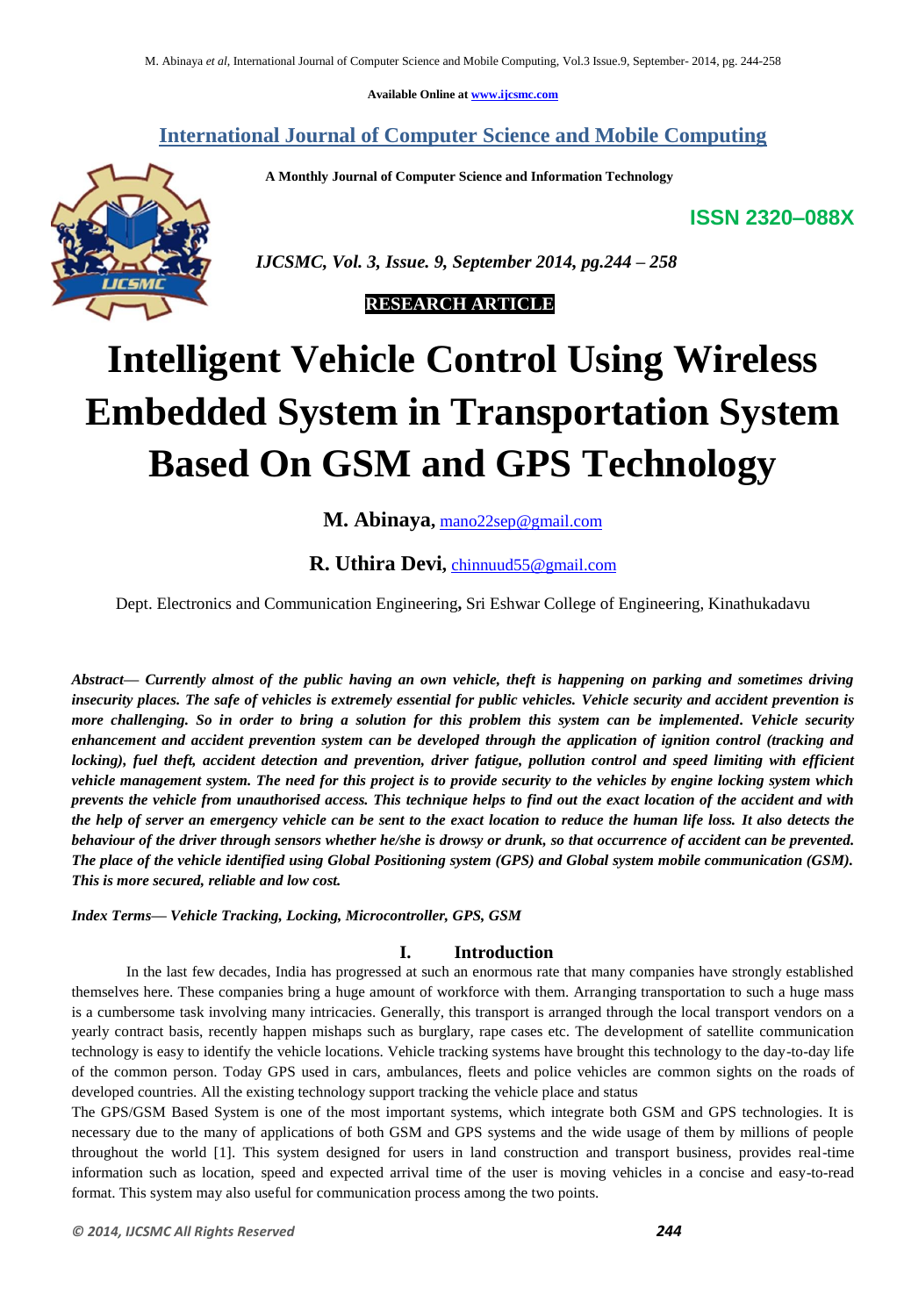**Available Online at www.ijcsmc.com**

# **International Journal of Computer Science and Mobile Computing**

 **A Monthly Journal of Computer Science and Information Technology**

**ISSN 2320–088X**



 *IJCSMC, Vol. 3, Issue. 9, September 2014, pg.244 – 258*

 **RESEARCH ARTICLE**

# **Intelligent Vehicle Control Using Wireless Embedded System in Transportation System Based On GSM and GPS Technology**

**M. Abinaya,** mano22sep@gmail.com

# **R. Uthira Devi,** chinnuud55@gmail.com

Dept. Electronics and Communication Engineering**,** Sri Eshwar College of Engineering, Kinathukadavu

*Abstract— Currently almost of the public having an own vehicle, theft is happening on parking and sometimes driving insecurity places. The safe of vehicles is extremely essential for public vehicles. Vehicle security and accident prevention is more challenging. So in order to bring a solution for this problem this system can be implemented. Vehicle security enhancement and accident prevention system can be developed through the application of ignition control (tracking and locking), fuel theft, accident detection and prevention, driver fatigue, pollution control and speed limiting with efficient vehicle management system. The need for this project is to provide security to the vehicles by engine locking system which prevents the vehicle from unauthorised access. This technique helps to find out the exact location of the accident and with the help of server an emergency vehicle can be sent to the exact location to reduce the human life loss. It also detects the behaviour of the driver through sensors whether he/she is drowsy or drunk, so that occurrence of accident can be prevented. The place of the vehicle identified using Global Positioning system (GPS) and Global system mobile communication (GSM). This is more secured, reliable and low cost.*

*Index Terms— Vehicle Tracking, Locking, Microcontroller, GPS, GSM*

# **I. Introduction**

In the last few decades, India has progressed at such an enormous rate that many companies have strongly established themselves here. These companies bring a huge amount of workforce with them. Arranging transportation to such a huge mass is a cumbersome task involving many intricacies. Generally, this transport is arranged through the local transport vendors on a yearly contract basis, recently happen mishaps such as burglary, rape cases etc. The development of satellite communication technology is easy to identify the vehicle locations. Vehicle tracking systems have brought this technology to the day-to-day life of the common person. Today GPS used in cars, ambulances, fleets and police vehicles are common sights on the roads of developed countries. All the existing technology support tracking the vehicle place and status

The GPS/GSM Based System is one of the most important systems, which integrate both GSM and GPS technologies. It is necessary due to the many of applications of both GSM and GPS systems and the wide usage of them by millions of people throughout the world [1]. This system designed for users in land construction and transport business, provides real-time information such as location, speed and expected arrival time of the user is moving vehicles in a concise and easy-to-read format. This system may also useful for communication process among the two points.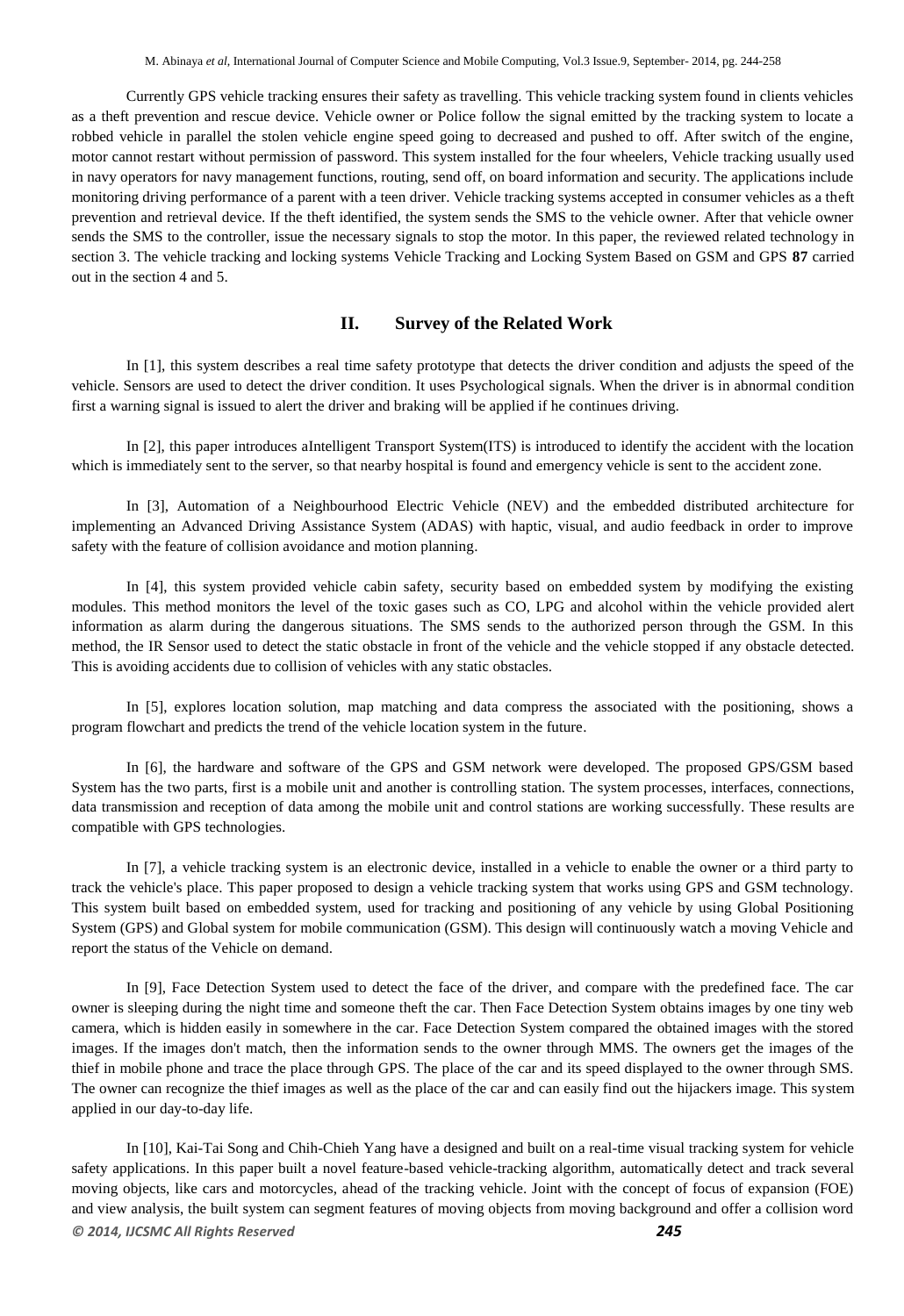Currently GPS vehicle tracking ensures their safety as travelling. This vehicle tracking system found in clients vehicles as a theft prevention and rescue device. Vehicle owner or Police follow the signal emitted by the tracking system to locate a robbed vehicle in parallel the stolen vehicle engine speed going to decreased and pushed to off. After switch of the engine, motor cannot restart without permission of password. This system installed for the four wheelers, Vehicle tracking usually used in navy operators for navy management functions, routing, send off, on board information and security. The applications include monitoring driving performance of a parent with a teen driver. Vehicle tracking systems accepted in consumer vehicles as a theft prevention and retrieval device. If the theft identified, the system sends the SMS to the vehicle owner. After that vehicle owner sends the SMS to the controller, issue the necessary signals to stop the motor. In this paper, the reviewed related technology in section 3. The vehicle tracking and locking systems Vehicle Tracking and Locking System Based on GSM and GPS **87** carried out in the section 4 and 5.

# **II. Survey of the Related Work**

In [1], this system describes a real time safety prototype that detects the driver condition and adjusts the speed of the vehicle. Sensors are used to detect the driver condition. It uses Psychological signals. When the driver is in abnormal condition first a warning signal is issued to alert the driver and braking will be applied if he continues driving.

In [2], this paper introduces aIntelligent Transport System(ITS) is introduced to identify the accident with the location which is immediately sent to the server, so that nearby hospital is found and emergency vehicle is sent to the accident zone.

In [3], Automation of a Neighbourhood Electric Vehicle (NEV) and the embedded distributed architecture for implementing an Advanced Driving Assistance System (ADAS) with haptic, visual, and audio feedback in order to improve safety with the feature of collision avoidance and motion planning.

In [4], this system provided vehicle cabin safety, security based on embedded system by modifying the existing modules. This method monitors the level of the toxic gases such as CO, LPG and alcohol within the vehicle provided alert information as alarm during the dangerous situations. The SMS sends to the authorized person through the GSM. In this method, the IR Sensor used to detect the static obstacle in front of the vehicle and the vehicle stopped if any obstacle detected. This is avoiding accidents due to collision of vehicles with any static obstacles.

In [5], explores location solution, map matching and data compress the associated with the positioning, shows a program flowchart and predicts the trend of the vehicle location system in the future.

In [6], the hardware and software of the GPS and GSM network were developed. The proposed GPS/GSM based System has the two parts, first is a mobile unit and another is controlling station. The system processes, interfaces, connections, data transmission and reception of data among the mobile unit and control stations are working successfully. These results are compatible with GPS technologies.

In [7], a vehicle tracking system is an electronic device, installed in a vehicle to enable the owner or a third party to track the vehicle's place. This paper proposed to design a vehicle tracking system that works using GPS and GSM technology. This system built based on embedded system, used for tracking and positioning of any vehicle by using Global Positioning System (GPS) and Global system for mobile communication (GSM). This design will continuously watch a moving Vehicle and report the status of the Vehicle on demand.

In [9], Face Detection System used to detect the face of the driver, and compare with the predefined face. The car owner is sleeping during the night time and someone theft the car. Then Face Detection System obtains images by one tiny web camera, which is hidden easily in somewhere in the car. Face Detection System compared the obtained images with the stored images. If the images don't match, then the information sends to the owner through MMS. The owners get the images of the thief in mobile phone and trace the place through GPS. The place of the car and its speed displayed to the owner through SMS. The owner can recognize the thief images as well as the place of the car and can easily find out the hijackers image. This system applied in our day-to-day life.

*© 2014, IJCSMC All Rights Reserved 245* In [10], Kai-Tai Song and Chih-Chieh Yang have a designed and built on a real-time visual tracking system for vehicle safety applications. In this paper built a novel feature-based vehicle-tracking algorithm, automatically detect and track several moving objects, like cars and motorcycles, ahead of the tracking vehicle. Joint with the concept of focus of expansion (FOE) and view analysis, the built system can segment features of moving objects from moving background and offer a collision word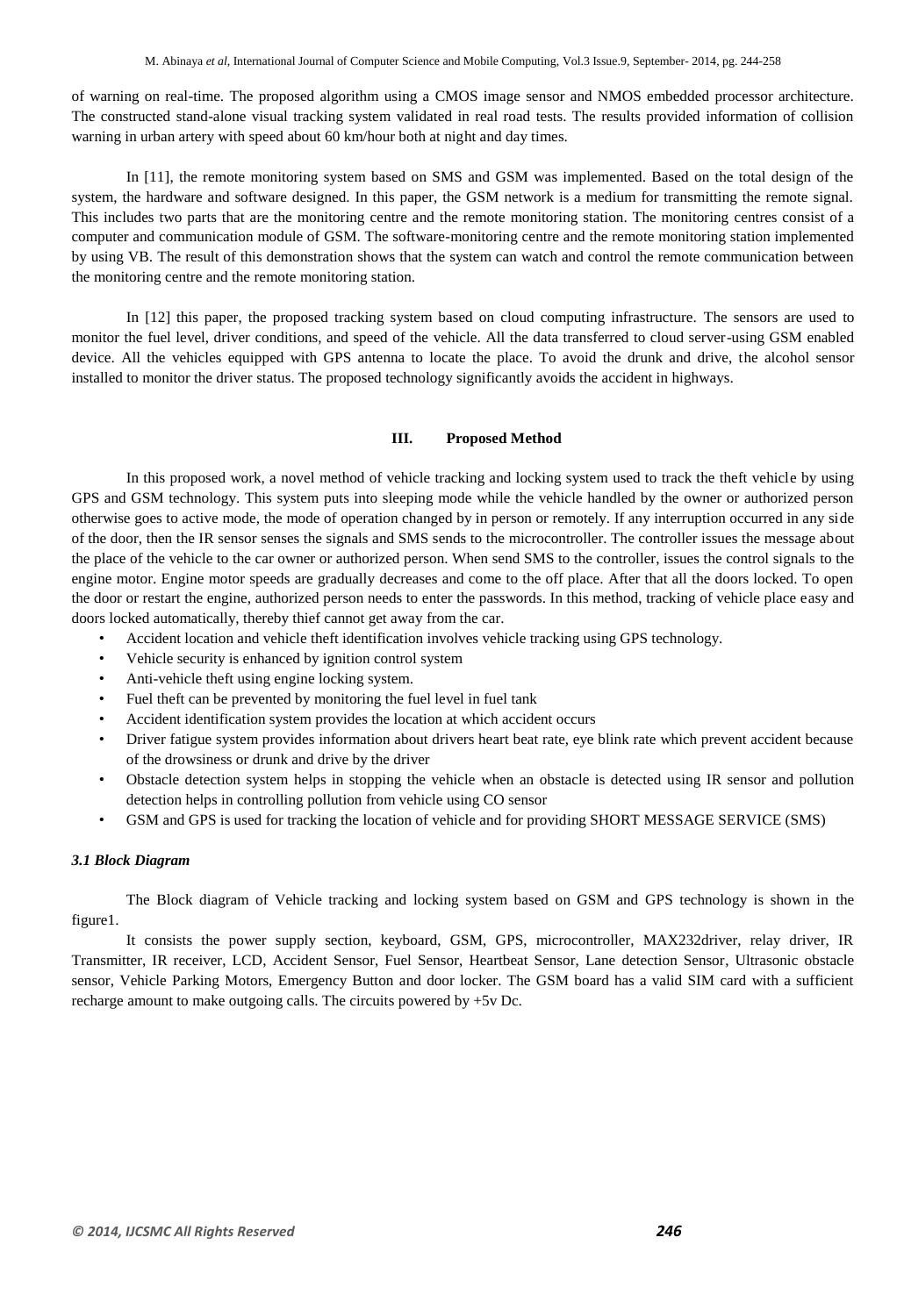of warning on real-time. The proposed algorithm using a CMOS image sensor and NMOS embedded processor architecture. The constructed stand-alone visual tracking system validated in real road tests. The results provided information of collision warning in urban artery with speed about 60 km/hour both at night and day times.

In [11], the remote monitoring system based on SMS and GSM was implemented. Based on the total design of the system, the hardware and software designed. In this paper, the GSM network is a medium for transmitting the remote signal. This includes two parts that are the monitoring centre and the remote monitoring station. The monitoring centres consist of a computer and communication module of GSM. The software-monitoring centre and the remote monitoring station implemented by using VB. The result of this demonstration shows that the system can watch and control the remote communication between the monitoring centre and the remote monitoring station.

In [12] this paper, the proposed tracking system based on cloud computing infrastructure. The sensors are used to monitor the fuel level, driver conditions, and speed of the vehicle. All the data transferred to cloud server-using GSM enabled device. All the vehicles equipped with GPS antenna to locate the place. To avoid the drunk and drive, the alcohol sensor installed to monitor the driver status. The proposed technology significantly avoids the accident in highways.

# **III. Proposed Method**

In this proposed work, a novel method of vehicle tracking and locking system used to track the theft vehicle by using GPS and GSM technology. This system puts into sleeping mode while the vehicle handled by the owner or authorized person otherwise goes to active mode, the mode of operation changed by in person or remotely. If any interruption occurred in any side of the door, then the IR sensor senses the signals and SMS sends to the microcontroller. The controller issues the message about the place of the vehicle to the car owner or authorized person. When send SMS to the controller, issues the control signals to the engine motor. Engine motor speeds are gradually decreases and come to the off place. After that all the doors locked. To open the door or restart the engine, authorized person needs to enter the passwords. In this method, tracking of vehicle place easy and doors locked automatically, thereby thief cannot get away from the car.

- Accident location and vehicle theft identification involves vehicle tracking using GPS technology.
- Vehicle security is enhanced by ignition control system
- Anti-vehicle theft using engine locking system.
- Fuel theft can be prevented by monitoring the fuel level in fuel tank
- Accident identification system provides the location at which accident occurs
- Driver fatigue system provides information about drivers heart beat rate, eye blink rate which prevent accident because of the drowsiness or drunk and drive by the driver
- Obstacle detection system helps in stopping the vehicle when an obstacle is detected using IR sensor and pollution detection helps in controlling pollution from vehicle using CO sensor
- GSM and GPS is used for tracking the location of vehicle and for providing SHORT MESSAGE SERVICE (SMS)

#### *3.1 Block Diagram*

The Block diagram of Vehicle tracking and locking system based on GSM and GPS technology is shown in the figure1.

It consists the power supply section, keyboard, GSM, GPS, microcontroller, MAX232driver, relay driver, IR Transmitter, IR receiver, LCD, Accident Sensor, Fuel Sensor, Heartbeat Sensor, Lane detection Sensor, Ultrasonic obstacle sensor, Vehicle Parking Motors, Emergency Button and door locker. The GSM board has a valid SIM card with a sufficient recharge amount to make outgoing calls. The circuits powered by +5v Dc.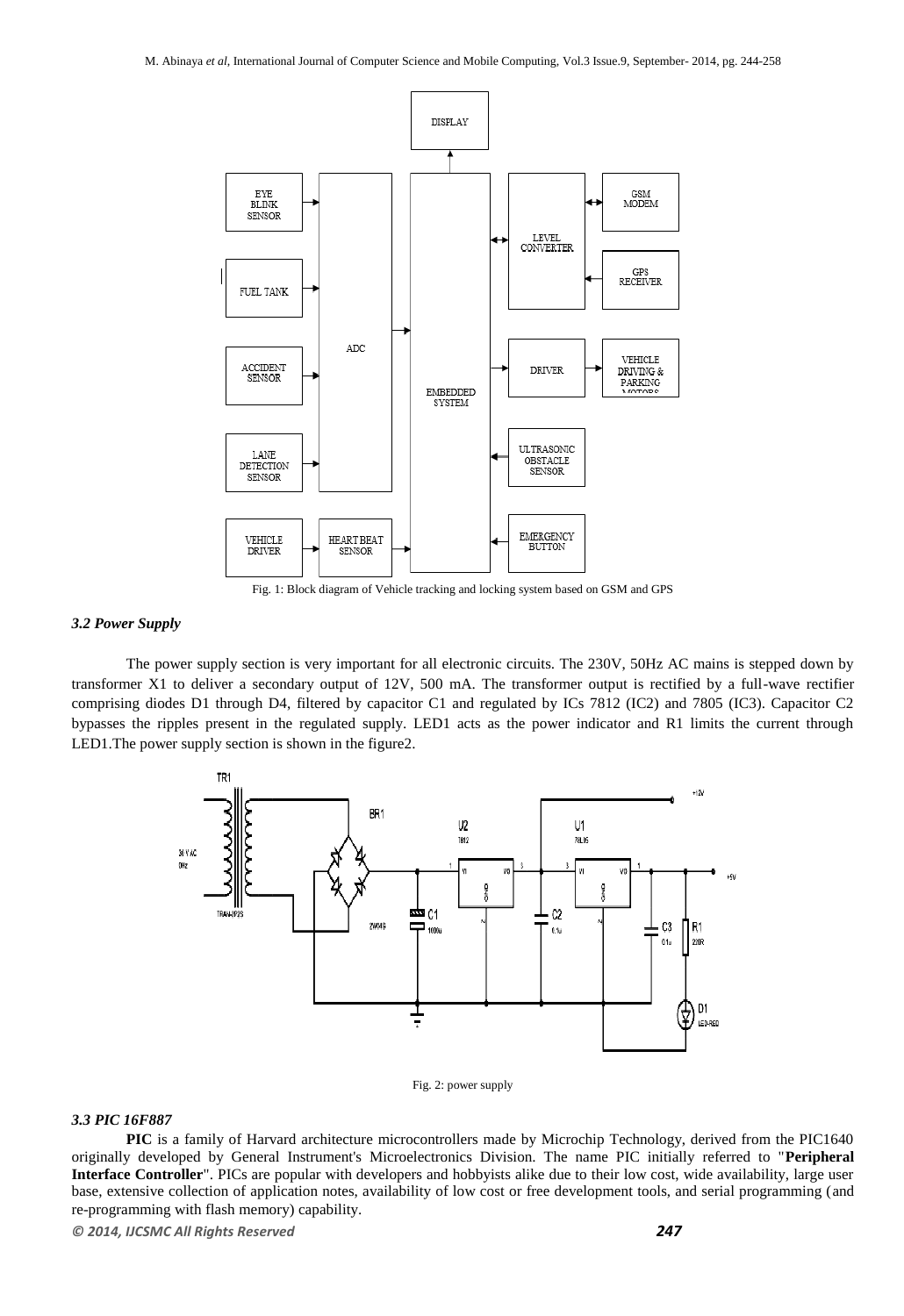

Fig. 1: Block diagram of Vehicle tracking and locking system based on GSM and GPS

#### *3.2 Power Supply*

The power supply section is very important for all electronic circuits. The 230V, 50Hz AC mains is stepped down by transformer X1 to deliver a secondary output of 12V, 500 mA. The transformer output is rectified by a full-wave rectifier comprising diodes D1 through D4, filtered by capacitor C1 and regulated by ICs 7812 (IC2) and 7805 (IC3). Capacitor C2 bypasses the ripples present in the regulated supply. LED1 acts as the power indicator and R1 limits the current through LED1.The power supply section is shown in the figure2.





## *3.3 PIC 16F887*

**PIC** is a family of Harvard architecture microcontrollers made by Microchip Technology, derived from the PIC1640 originally developed by General Instrument's Microelectronics Division. The name PIC initially referred to "**Peripheral Interface Controller**". PICs are popular with developers and hobbyists alike due to their low cost, wide availability, large user base, extensive collection of application notes, availability of low cost or free development tools, and serial programming (and re-programming with flash memory) capability.

*© 2014, IJCSMC All Rights Reserved 247*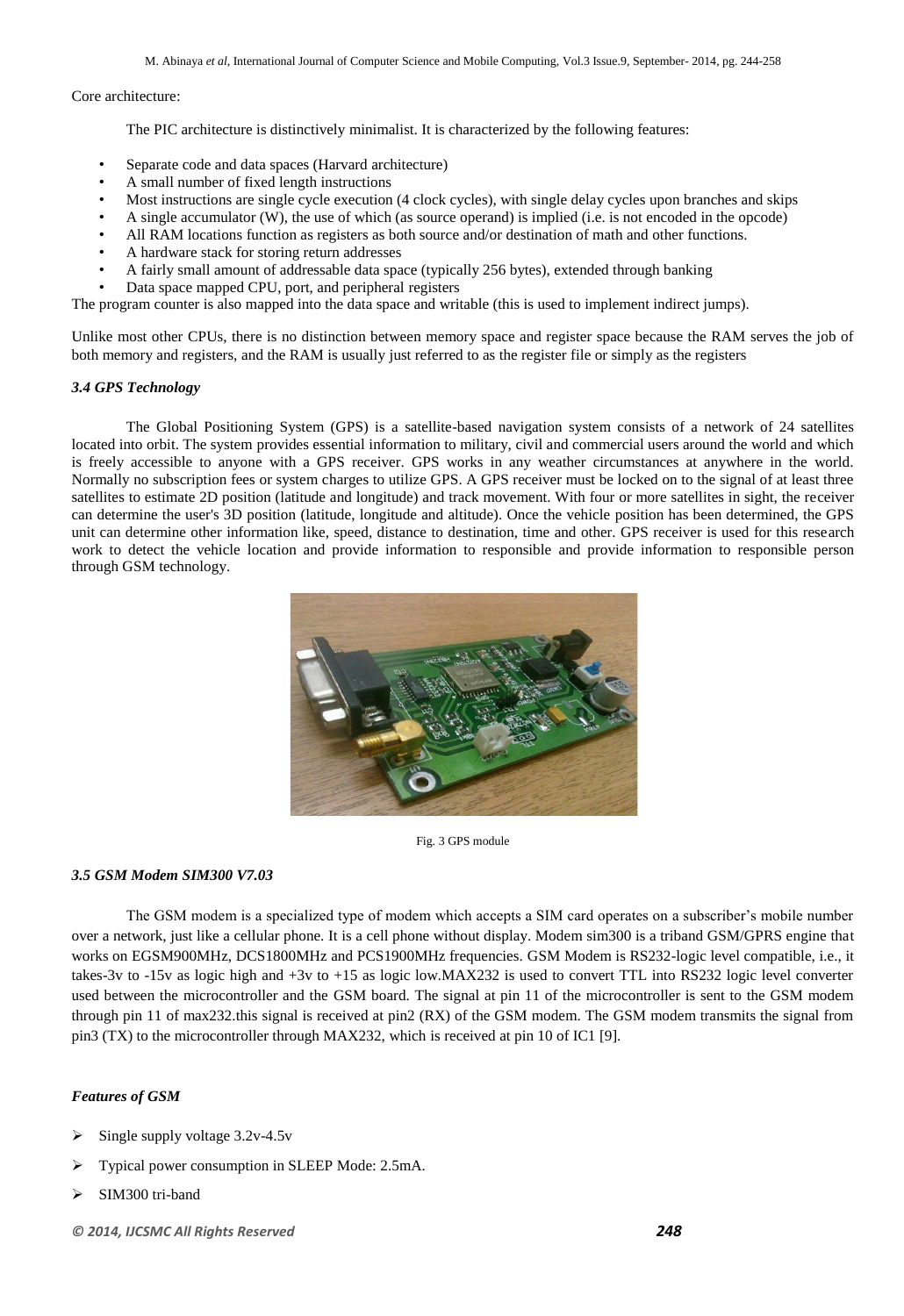#### Core architecture:

The PIC architecture is distinctively minimalist. It is characterized by the following features:

- Separate code and data spaces (Harvard architecture)
- A small number of fixed length instructions
- Most instructions are single cycle execution (4 clock cycles), with single delay cycles upon branches and skips
- A single accumulator (W), the use of which (as source operand) is implied (i.e. is not encoded in the opcode)
- All RAM locations function as registers as both source and/or destination of math and other functions.
- A hardware stack for storing return addresses
- A fairly small amount of addressable data space (typically 256 bytes), extended through banking
- Data space mapped CPU, port, and peripheral registers

The program counter is also mapped into the data space and writable (this is used to implement indirect jumps).

Unlike most other CPUs, there is no distinction between memory space and register space because the RAM serves the job of both memory and registers, and the RAM is usually just referred to as the register file or simply as the registers

#### *3.4 GPS Technology*

The Global Positioning System (GPS) is a satellite-based navigation system consists of a network of 24 satellites located into orbit. The system provides essential information to military, civil and commercial users around the world and which is freely accessible to anyone with a GPS receiver. GPS works in any weather circumstances at anywhere in the world. Normally no subscription fees or system charges to utilize GPS. A GPS receiver must be locked on to the signal of at least three satellites to estimate 2D position (latitude and longitude) and track movement. With four or more satellites in sight, the receiver can determine the user's 3D position (latitude, longitude and altitude). Once the vehicle position has been determined, the GPS unit can determine other information like, speed, distance to destination, time and other. GPS receiver is used for this research work to detect the vehicle location and provide information to responsible and provide information to responsible person through GSM technology.



Fig. 3 GPS module

#### *3.5 GSM Modem SIM300 V7.03*

The GSM modem is a specialized type of modem which accepts a SIM card operates on a subscriber's mobile number over a network, just like a cellular phone. It is a cell phone without display. Modem sim300 is a triband GSM/GPRS engine that works on EGSM900MHz, DCS1800MHz and PCS1900MHz frequencies. GSM Modem is RS232-logic level compatible, i.e., it takes-3v to -15v as logic high and +3v to +15 as logic low.MAX232 is used to convert TTL into RS232 logic level converter used between the microcontroller and the GSM board. The signal at pin 11 of the microcontroller is sent to the GSM modem through pin 11 of max232.this signal is received at pin2 (RX) of the GSM modem. The GSM modem transmits the signal from pin3 (TX) to the microcontroller through MAX232, which is received at pin 10 of IC1 [9].

#### *Features of GSM*

- Single supply voltage 3.2v-4.5v
- Typical power consumption in SLEEP Mode: 2.5mA.
- SIM300 tri-band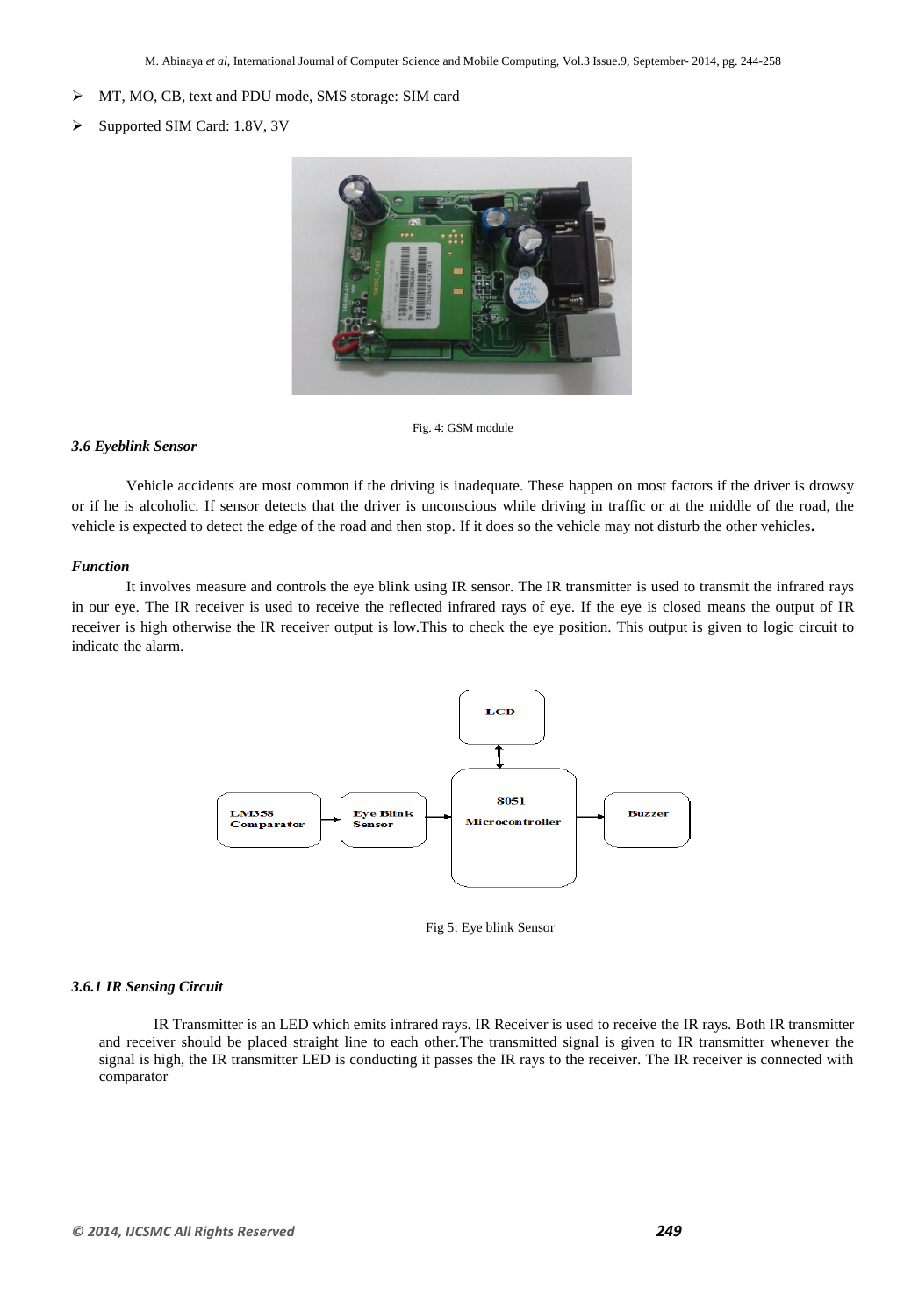- MT, MO, CB, text and PDU mode, SMS storage: SIM card
- Supported SIM Card: 1.8V, 3V



Fig. 4: GSM module

#### *3.6 Eyeblink Sensor*

Vehicle accidents are most common if the driving is inadequate. These happen on most factors if the driver is drowsy or if he is alcoholic. If sensor detects that the driver is unconscious while driving in traffic or at the middle of the road, the vehicle is expected to detect the edge of the road and then stop. If it does so the vehicle may not disturb the other vehicles**.** 

#### *Function*

It involves measure and controls the eye blink using IR sensor. The IR transmitter is used to transmit the infrared rays in our eye. The IR receiver is used to receive the reflected infrared rays of eye. If the eye is closed means the output of IR receiver is high otherwise the IR receiver output is low.This to check the eye position. This output is given to logic circuit to indicate the alarm.



Fig 5: Eye blink Sensor

#### *3.6.1 IR Sensing Circuit*

IR Transmitter is an LED which emits infrared rays. IR Receiver is used to receive the IR rays. Both IR transmitter and receiver should be placed straight line to each other.The transmitted signal is given to IR transmitter whenever the signal is high, the IR transmitter LED is conducting it passes the IR rays to the receiver. The IR receiver is connected with comparator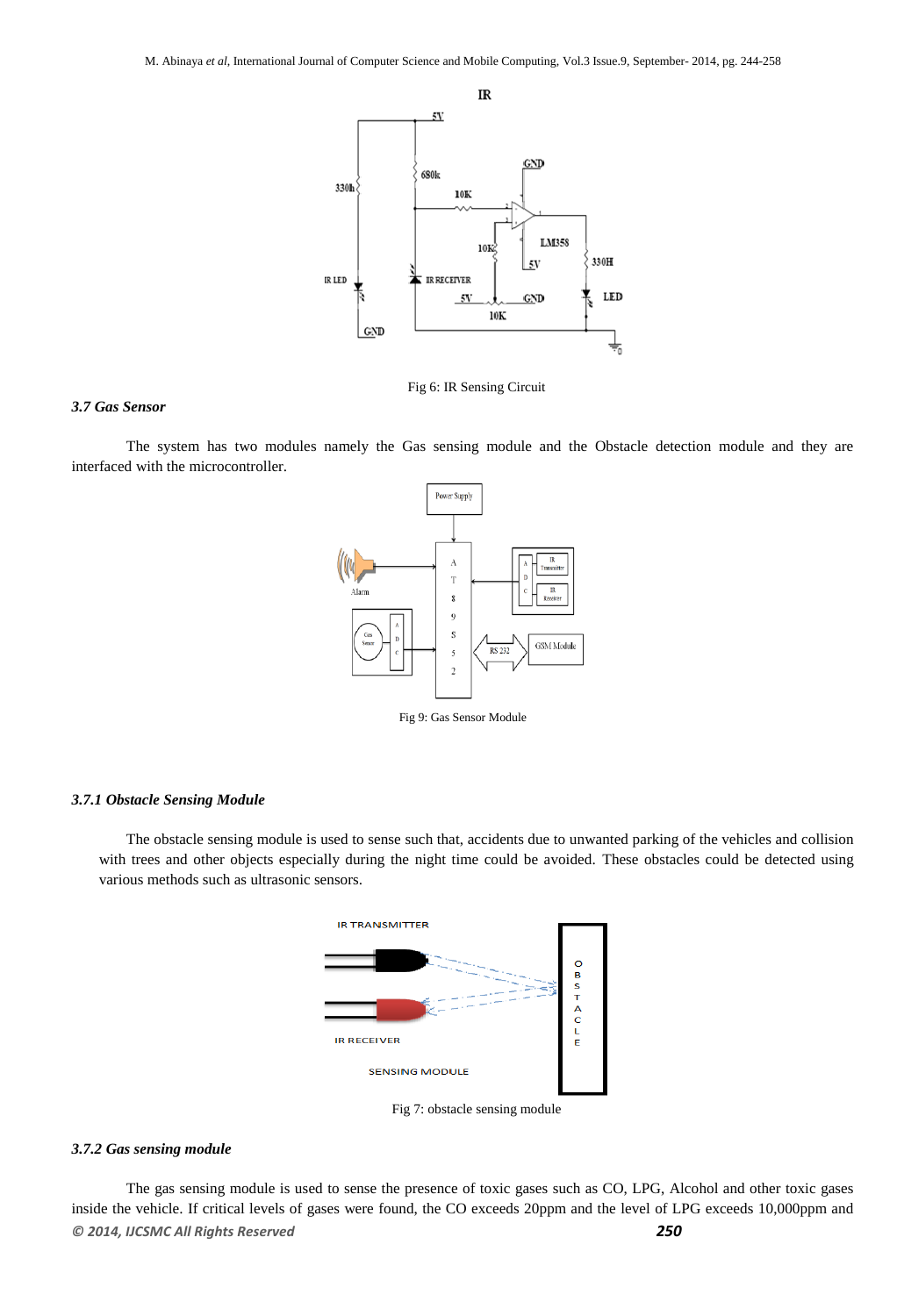

Fig 6: IR Sensing Circuit

#### *3.7 Gas Sensor*

The system has two modules namely the Gas sensing module and the Obstacle detection module and they are interfaced with the microcontroller.



Fig 9: Gas Sensor Module

#### *3.7.1 Obstacle Sensing Module*

The obstacle sensing module is used to sense such that, accidents due to unwanted parking of the vehicles and collision with trees and other objects especially during the night time could be avoided. These obstacles could be detected using various methods such as ultrasonic sensors.



Fig 7: obstacle sensing module

## *3.7.2 Gas sensing module*

*© 2014, IJCSMC All Rights Reserved 250* The gas sensing module is used to sense the presence of toxic gases such as CO, LPG, Alcohol and other toxic gases inside the vehicle. If critical levels of gases were found, the CO exceeds 20ppm and the level of LPG exceeds 10,000ppm and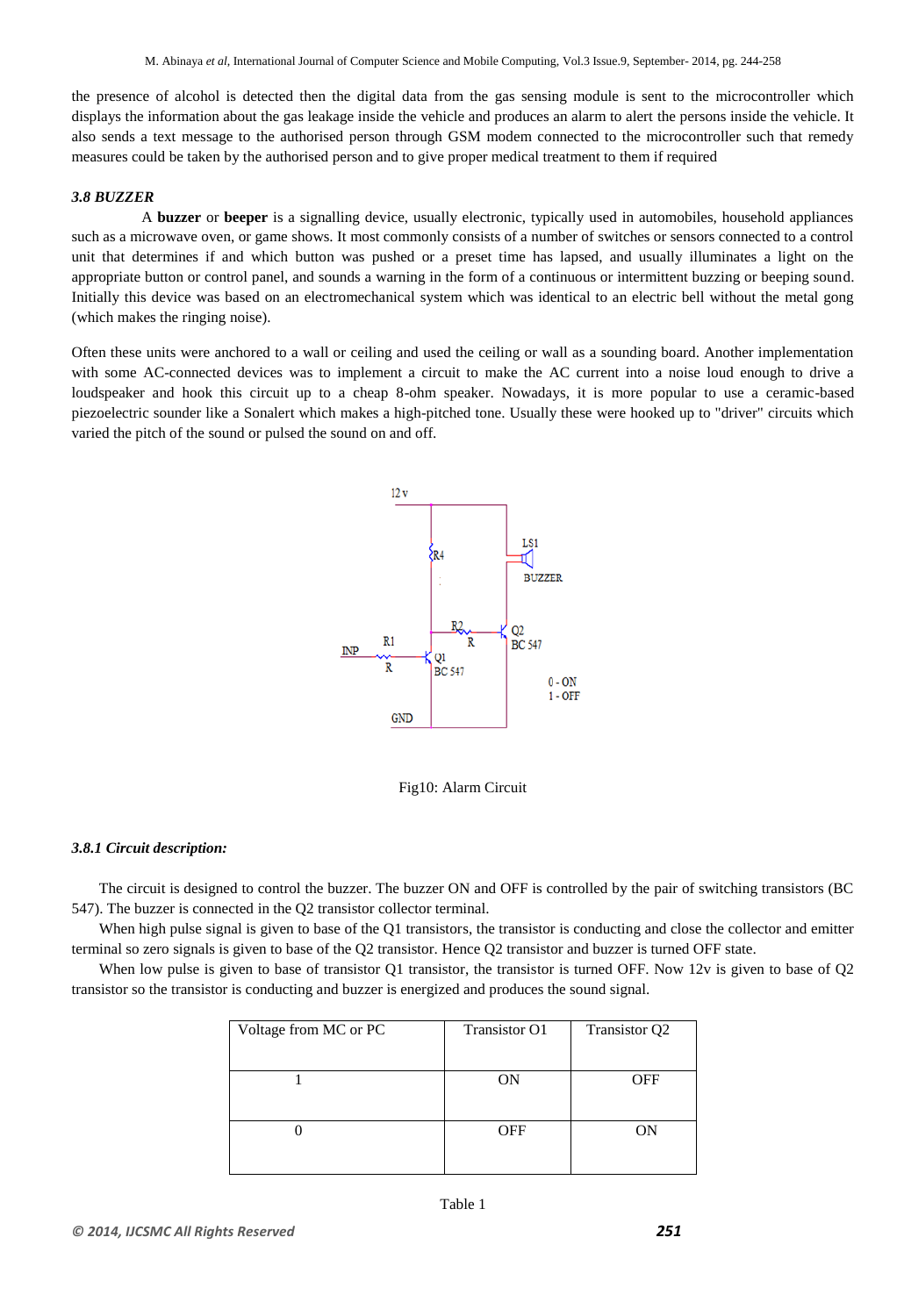the presence of alcohol is detected then the digital data from the gas sensing module is sent to the microcontroller which displays the information about the gas leakage inside the vehicle and produces an alarm to alert the persons inside the vehicle. It also sends a text message to the authorised person through GSM modem connected to the microcontroller such that remedy measures could be taken by the authorised person and to give proper medical treatment to them if required

#### *3.8 BUZZER*

 A **buzzer** or **beeper** is a signalling device, usually electronic, typically used in automobiles, household appliances such as a microwave oven, or game shows. It most commonly consists of a number of switches or sensors connected to a control unit that determines if and which button was pushed or a preset time has lapsed, and usually illuminates a light on the appropriate button or control panel, and sounds a warning in the form of a continuous or intermittent buzzing or beeping sound. Initially this device was based on an electromechanical system which was identical to an electric bell without the metal gong (which makes the ringing noise).

Often these units were anchored to a wall or ceiling and used the ceiling or wall as a sounding board. Another implementation with some AC-connected devices was to implement a circuit to make the AC current into a noise loud enough to drive a loudspeaker and hook this circuit up to a cheap 8-ohm speaker. Nowadays, it is more popular to use a ceramic-based piezoelectric sounder like a Sonalert which makes a high-pitched tone. Usually these were hooked up to "driver" circuits which varied the pitch of the sound or pulsed the sound on and off.





#### *3.8.1 Circuit description:*

The circuit is designed to control the buzzer. The buzzer ON and OFF is controlled by the pair of switching transistors (BC 547). The buzzer is connected in the Q2 transistor collector terminal.

When high pulse signal is given to base of the Q1 transistors, the transistor is conducting and close the collector and emitter terminal so zero signals is given to base of the Q2 transistor. Hence Q2 transistor and buzzer is turned OFF state.

When low pulse is given to base of transistor Q1 transistor, the transistor is turned OFF. Now 12v is given to base of Q2 transistor so the transistor is conducting and buzzer is energized and produces the sound signal.

| Voltage from MC or PC | <b>Transistor O1</b> | Transistor Q2 |
|-----------------------|----------------------|---------------|
|                       |                      |               |
|                       | ON                   | OFF           |
|                       |                      |               |
|                       | OFF                  |               |
|                       |                      |               |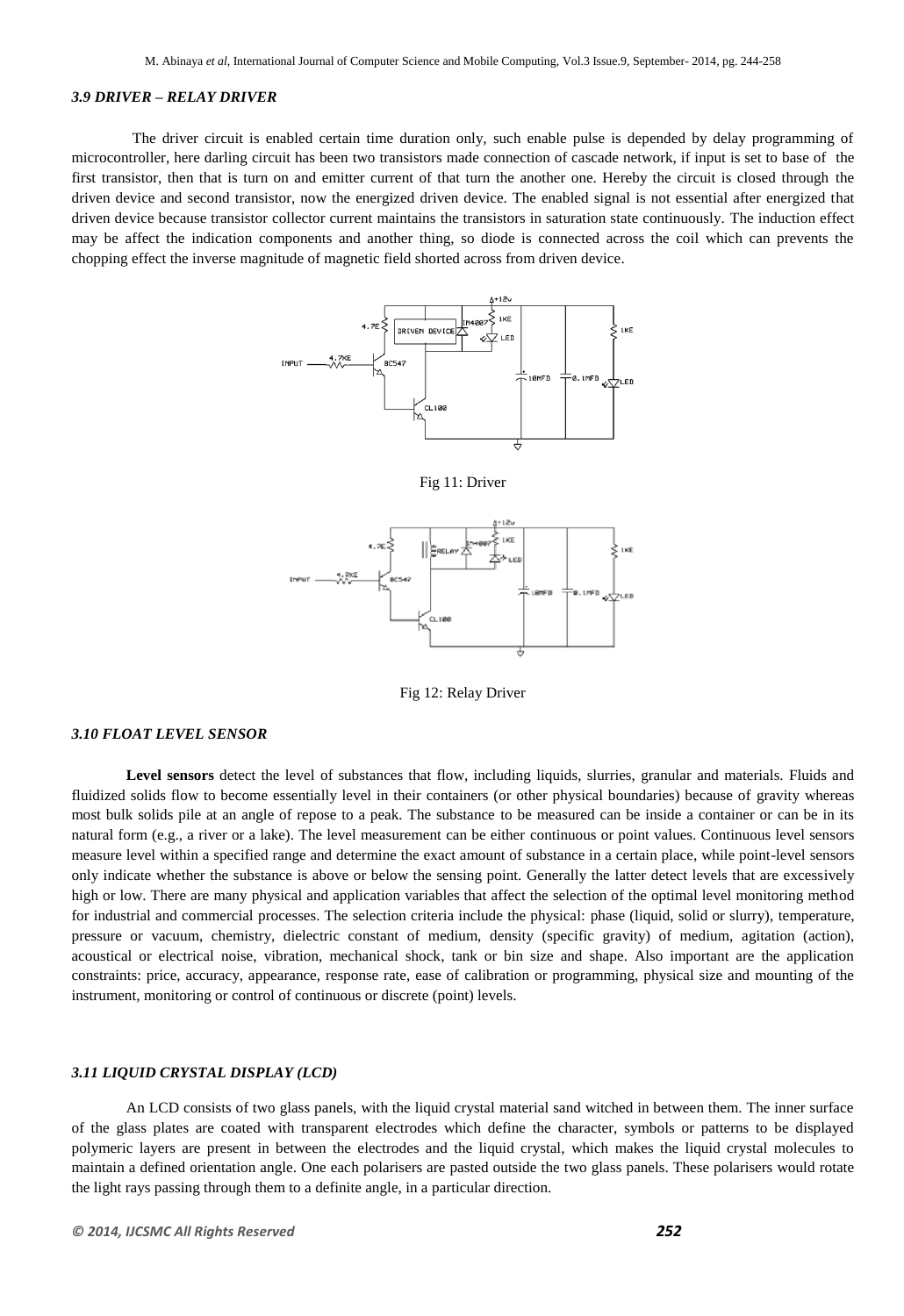#### *3.9 DRIVER – RELAY DRIVER*

 The driver circuit is enabled certain time duration only, such enable pulse is depended by delay programming of microcontroller, here darling circuit has been two transistors made connection of cascade network, if input is set to base of the first transistor, then that is turn on and emitter current of that turn the another one. Hereby the circuit is closed through the driven device and second transistor, now the energized driven device. The enabled signal is not essential after energized that driven device because transistor collector current maintains the transistors in saturation state continuously. The induction effect may be affect the indication components and another thing, so diode is connected across the coil which can prevents the chopping effect the inverse magnitude of magnetic field shorted across from driven device.



Fig 11: Driver



Fig 12: Relay Driver

#### *3.10 FLOAT LEVEL SENSOR*

**Level [sensors](http://en.wikipedia.org/wiki/Sensors)** detect the [level](http://en.wikipedia.org/wiki/Level) of substances that flow, including [liquids,](http://en.wikipedia.org/wiki/Liquids) [slurries,](http://en.wikipedia.org/wiki/Slurry) [granular](http://en.wikipedia.org/wiki/Granular) and materials. Fluids and fluidized solids flow to become essentially level in their containers (or other physical boundaries) because of [gravity](http://en.wikipedia.org/wiki/Gravity) whereas most bulk solids pile at an angle of repose to a peak. The substance to be measured can be inside a container or can be in its natural form (e.g., a river or a lake). The level measurement can be either [continuous](http://en.wikipedia.org/wiki/Continuous) or point values. Continuous level sensors measure level within a specified range and determine the exact amount of substance in a certain place, while point-level sensors only indicate whether the substance is above or below the sensing point. Generally the latter detect levels that are excessively high or low. There are many physical and application variables that affect the selection of the optimal level monitoring method for industrial and commercial processes. The selection criteria include the physical: [phase](http://en.wikipedia.org/wiki/Phase_(matter)) (liquid, solid or slurry), [temperature,](http://en.wikipedia.org/wiki/Temperature) [pressure](http://en.wikipedia.org/wiki/Pressure) or [vacuum,](http://en.wikipedia.org/wiki/Vacuum) [chemistry,](http://en.wikipedia.org/wiki/Chemistry) [dielectric constant](http://en.wikipedia.org/wiki/Dielectric_constant) of [medium,](http://en.wikipedia.org/wiki/Medium) [density](http://en.wikipedia.org/wiki/Density) (specific gravity) of medium, [agitation \(action\),](http://en.wikipedia.org/wiki/Agitation_(action)) acoustical or electrical [noise,](http://en.wikipedia.org/wiki/Noise) [vibration,](http://en.wikipedia.org/wiki/Vibration) [mechanical shock,](http://en.wikipedia.org/wiki/Shock_(mechanics)) tank or bin size and shape. Also important are the application constraints: price, accuracy, appearance, response rate, ease of [calibration](http://en.wikipedia.org/wiki/Calibration) or [programming,](http://en.wikipedia.org/wiki/Programming) physical size and mounting of the instrument, monitoring or control of continuous or discrete (point) levels.

#### *3.11 LIQUID CRYSTAL DISPLAY (LCD)*

An LCD consists of two glass panels, with the liquid crystal material sand witched in between them. The inner surface of the glass plates are coated with transparent electrodes which define the character, symbols or patterns to be displayed polymeric layers are present in between the electrodes and the liquid crystal, which makes the liquid crystal molecules to maintain a defined orientation angle. One each polarisers are pasted outside the two glass panels. These polarisers would rotate the light rays passing through them to a definite angle, in a particular direction.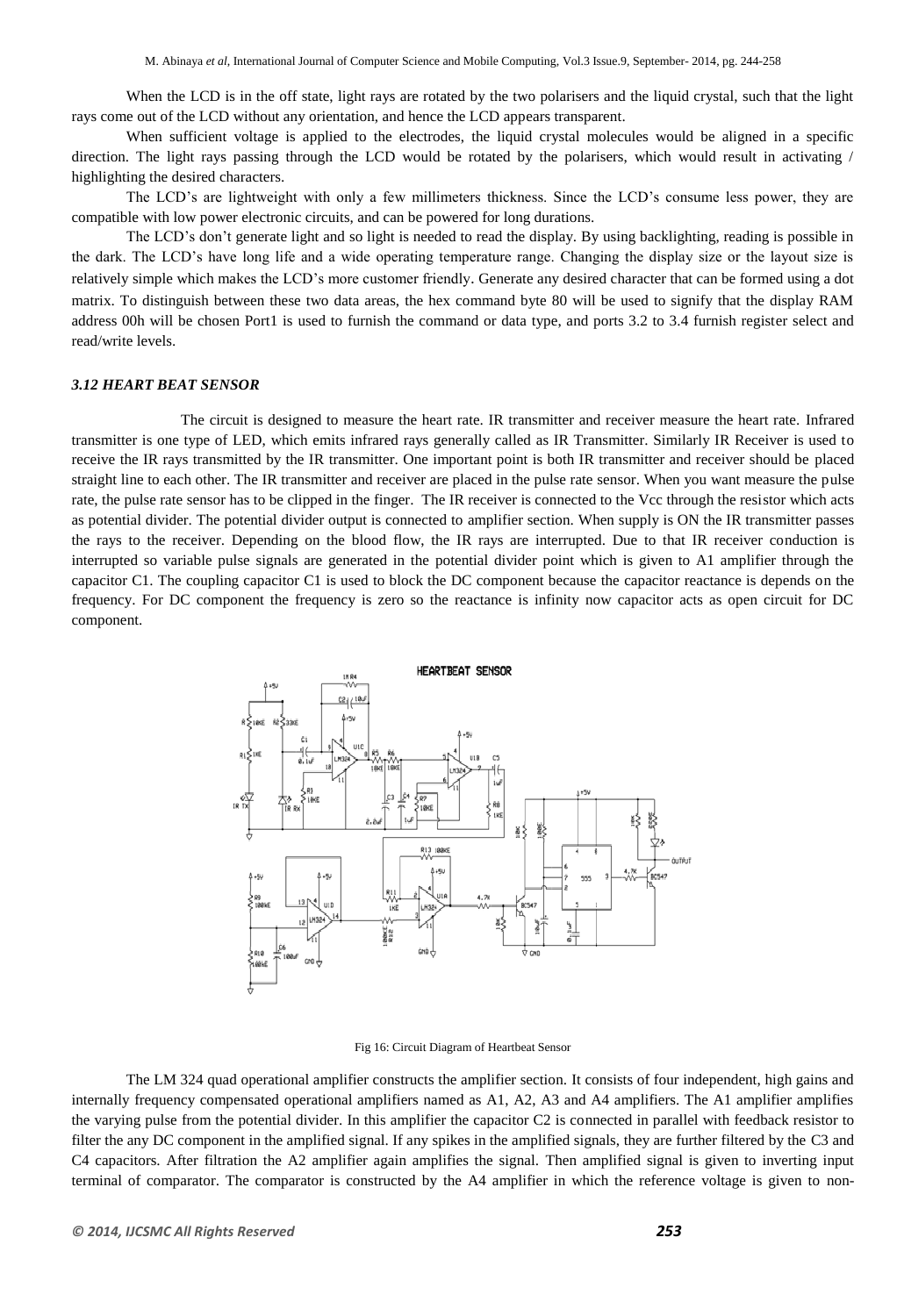When the LCD is in the off state, light rays are rotated by the two polarisers and the liquid crystal, such that the light rays come out of the LCD without any orientation, and hence the LCD appears transparent.

When sufficient voltage is applied to the electrodes, the liquid crystal molecules would be aligned in a specific direction. The light rays passing through the LCD would be rotated by the polarisers, which would result in activating / highlighting the desired characters.

The LCD's are lightweight with only a few millimeters thickness. Since the LCD's consume less power, they are compatible with low power electronic circuits, and can be powered for long durations.

The LCD's don't generate light and so light is needed to read the display. By using backlighting, reading is possible in the dark. The LCD's have long life and a wide operating temperature range. Changing the display size or the layout size is relatively simple which makes the LCD's more customer friendly. Generate any desired character that can be formed using a dot matrix. To distinguish between these two data areas, the hex command byte 80 will be used to signify that the display RAM address 00h will be chosen Port1 is used to furnish the command or data type, and ports 3.2 to 3.4 furnish register select and read/write levels.

#### *3.12 HEART BEAT SENSOR*

The circuit is designed to measure the heart rate. IR transmitter and receiver measure the heart rate. Infrared transmitter is one type of LED, which emits infrared rays generally called as IR Transmitter. Similarly IR Receiver is used to receive the IR rays transmitted by the IR transmitter. One important point is both IR transmitter and receiver should be placed straight line to each other. The IR transmitter and receiver are placed in the pulse rate sensor. When you want measure the pulse rate, the pulse rate sensor has to be clipped in the finger. The IR receiver is connected to the Vcc through the resistor which acts as potential divider. The potential divider output is connected to amplifier section. When supply is ON the IR transmitter passes the rays to the receiver. Depending on the blood flow, the IR rays are interrupted. Due to that IR receiver conduction is interrupted so variable pulse signals are generated in the potential divider point which is given to A1 amplifier through the capacitor C1. The coupling capacitor C1 is used to block the DC component because the capacitor reactance is depends on the frequency. For DC component the frequency is zero so the reactance is infinity now capacitor acts as open circuit for DC component.



Fig 16: Circuit Diagram of Heartbeat Sensor

The LM 324 quad operational amplifier constructs the amplifier section. It consists of four independent, high gains and internally frequency compensated operational amplifiers named as A1, A2, A3 and A4 amplifiers. The A1 amplifier amplifies the varying pulse from the potential divider. In this amplifier the capacitor C2 is connected in parallel with feedback resistor to filter the any DC component in the amplified signal. If any spikes in the amplified signals, they are further filtered by the C3 and C4 capacitors. After filtration the A2 amplifier again amplifies the signal. Then amplified signal is given to inverting input terminal of comparator. The comparator is constructed by the A4 amplifier in which the reference voltage is given to non-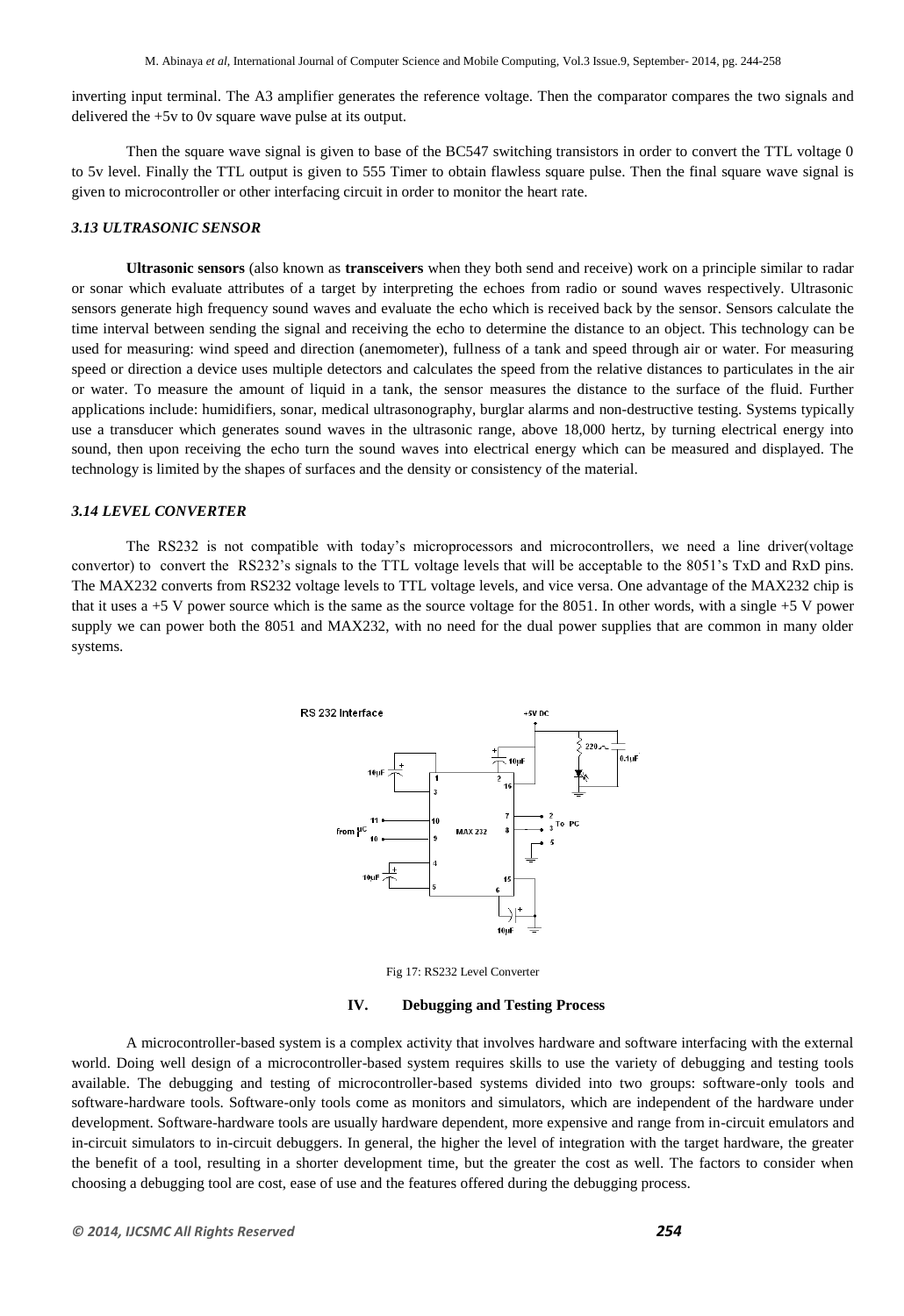inverting input terminal. The A3 amplifier generates the reference voltage. Then the comparator compares the two signals and delivered the +5v to 0v square wave pulse at its output.

Then the square wave signal is given to base of the BC547 switching transistors in order to convert the TTL voltage 0 to 5v level. Finally the TTL output is given to 555 Timer to obtain flawless square pulse. Then the final square wave signal is given to microcontroller or other interfacing circuit in order to monitor the heart rate.

#### *3.13 ULTRASONIC SENSOR*

**Ultrasonic sensors** (also known as **transceivers** when they both send and receive) work on a principle similar to radar or sonar which evaluate attributes of a target by interpreting the echoes from radio or sound waves respectively. Ultrasonic sensors generate high frequency sound waves and evaluate the echo which is received back by the sensor. Sensors calculate the time interval between sending the signal and receiving the echo to determine the distance to an object. This technology can be used for measuring: wind speed and direction (anemometer), fullness of a tank and speed through air or water. For measuring speed or direction a device uses multiple detectors and calculates the speed from the relative distances to particulates in the air or water. To measure the amount of liquid in a tank, the sensor measures the distance to the surface of the fluid. Further applications include: [humidifiers,](http://en.wikipedia.org/wiki/Humidifier) [sonar,](http://en.wikipedia.org/wiki/Sonar) [medical ultrasonography,](http://en.wikipedia.org/wiki/Medical_ultrasonography) burglar alarms and [non-destructive testing.](http://en.wikipedia.org/wiki/Non-destructive_testing) Systems typically use a transducer which generates sound waves in the ultrasonic range, above 18,000 hertz, by turning electrical energy into sound, then upon receiving the echo turn the sound waves into electrical energy which can be measured and displayed. The technology is limited by the shapes of surfaces and the density or consistency of the material.

#### *3.14 LEVEL CONVERTER*

The RS232 is not compatible with today's microprocessors and microcontrollers, we need a line driver(voltage convertor) to convert the RS232's signals to the TTL voltage levels that will be acceptable to the 8051's TxD and RxD pins. The MAX232 converts from RS232 voltage levels to TTL voltage levels, and vice versa. One advantage of the MAX232 chip is that it uses a  $+5$  V power source which is the same as the source voltage for the 8051. In other words, with a single  $+5$  V power supply we can power both the 8051 and MAX232, with no need for the dual power supplies that are common in many older systems.



Fig 17: RS232 Level Converter

#### **IV. Debugging and Testing Process**

A microcontroller-based system is a complex activity that involves hardware and software interfacing with the external world. Doing well design of a microcontroller-based system requires skills to use the variety of debugging and testing tools available. The debugging and testing of microcontroller-based systems divided into two groups: software-only tools and software-hardware tools. Software-only tools come as monitors and simulators, which are independent of the hardware under development. Software-hardware tools are usually hardware dependent, more expensive and range from in-circuit emulators and in-circuit simulators to in-circuit debuggers. In general, the higher the level of integration with the target hardware, the greater the benefit of a tool, resulting in a shorter development time, but the greater the cost as well. The factors to consider when choosing a debugging tool are cost, ease of use and the features offered during the debugging process.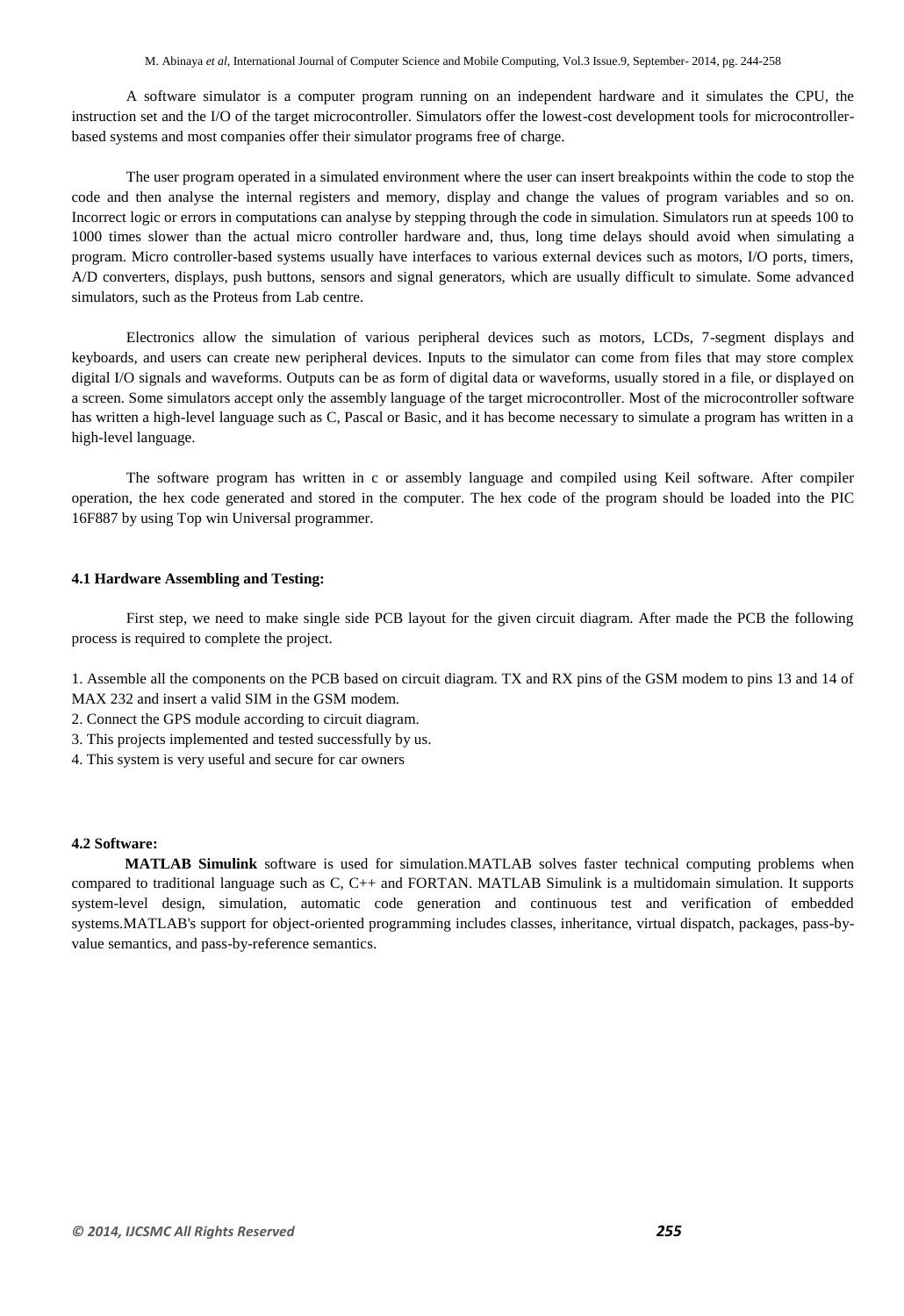A software simulator is a computer program running on an independent hardware and it simulates the CPU, the instruction set and the I/O of the target microcontroller. Simulators offer the lowest-cost development tools for microcontrollerbased systems and most companies offer their simulator programs free of charge.

The user program operated in a simulated environment where the user can insert breakpoints within the code to stop the code and then analyse the internal registers and memory, display and change the values of program variables and so on. Incorrect logic or errors in computations can analyse by stepping through the code in simulation. Simulators run at speeds 100 to 1000 times slower than the actual micro controller hardware and, thus, long time delays should avoid when simulating a program. Micro controller-based systems usually have interfaces to various external devices such as motors, I/O ports, timers, A/D converters, displays, push buttons, sensors and signal generators, which are usually difficult to simulate. Some advanced simulators, such as the Proteus from Lab centre.

Electronics allow the simulation of various peripheral devices such as motors, LCDs, 7-segment displays and keyboards, and users can create new peripheral devices. Inputs to the simulator can come from files that may store complex digital I/O signals and waveforms. Outputs can be as form of digital data or waveforms, usually stored in a file, or displayed on a screen. Some simulators accept only the assembly language of the target microcontroller. Most of the microcontroller software has written a high-level language such as C, Pascal or Basic, and it has become necessary to simulate a program has written in a high-level language.

The software program has written in c or assembly language and compiled using Keil software. After compiler operation, the hex code generated and stored in the computer. The hex code of the program should be loaded into the PIC 16F887 by using Top win Universal programmer.

#### **4.1 Hardware Assembling and Testing:**

First step, we need to make single side PCB layout for the given circuit diagram. After made the PCB the following process is required to complete the project.

1. Assemble all the components on the PCB based on circuit diagram. TX and RX pins of the GSM modem to pins 13 and 14 of MAX 232 and insert a valid SIM in the GSM modem.

- 2. Connect the GPS module according to circuit diagram.
- 3. This projects implemented and tested successfully by us.
- 4. This system is very useful and secure for car owners

## **4.2 Software:**

 **MATLAB Simulink** software is used for simulation.MATLAB solves faster technical computing problems when compared to traditional language such as C, C++ and FORTAN. MATLAB Simulink is a multidomain simulation. It supports system-level design, simulation, automatic code generation and continuous test and verification of embedded systems.MATLAB's support for [object-oriented programming](http://en.wikipedia.org/wiki/Object-oriented_programming) includes classes, inheritance, virtual dispatch, packages, pass-byvalue semantics, and pass-by-reference semantics.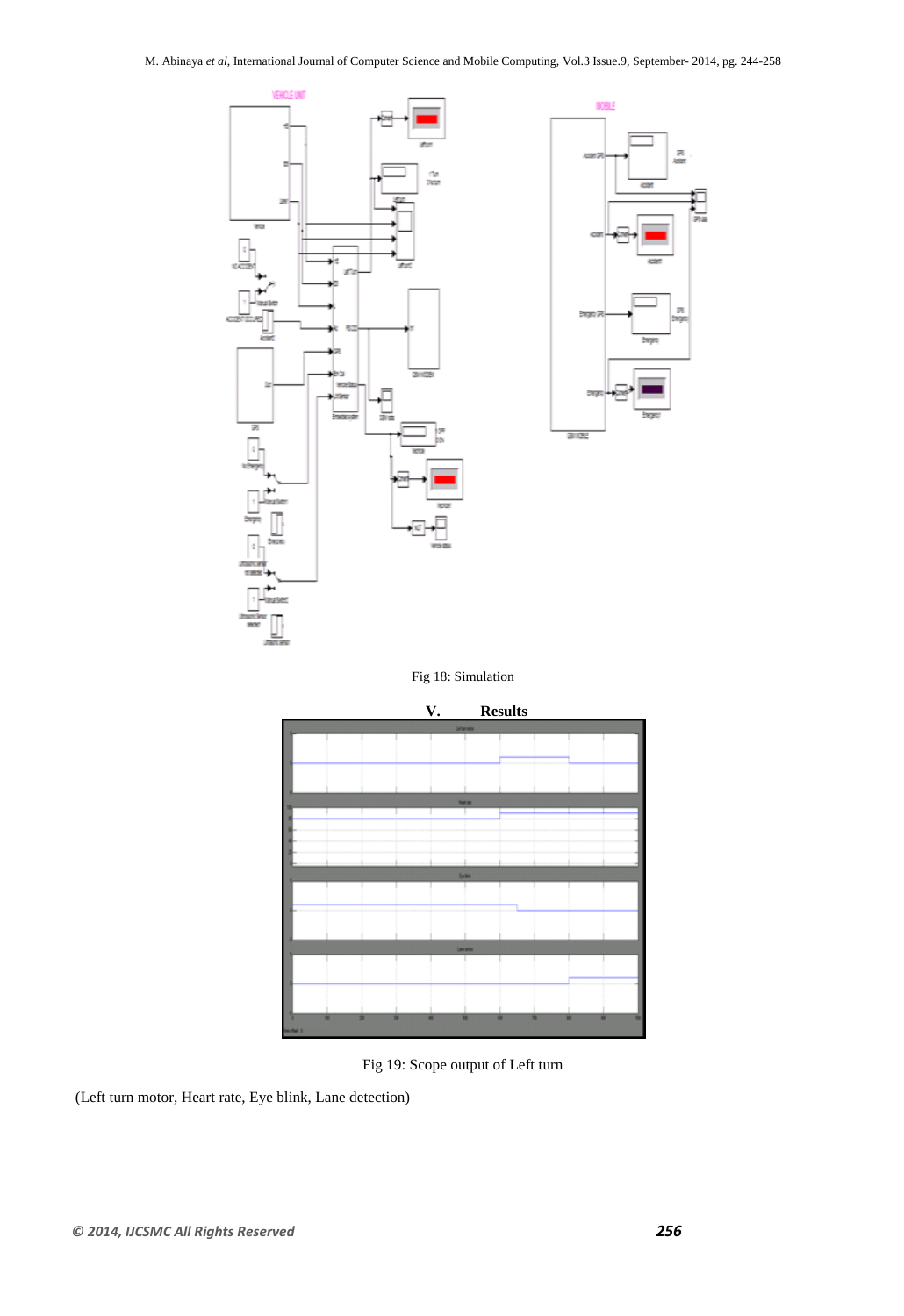

Fig 18: Simulation



Fig 19: Scope output of Left turn

(Left turn motor, Heart rate, Eye blink, Lane detection)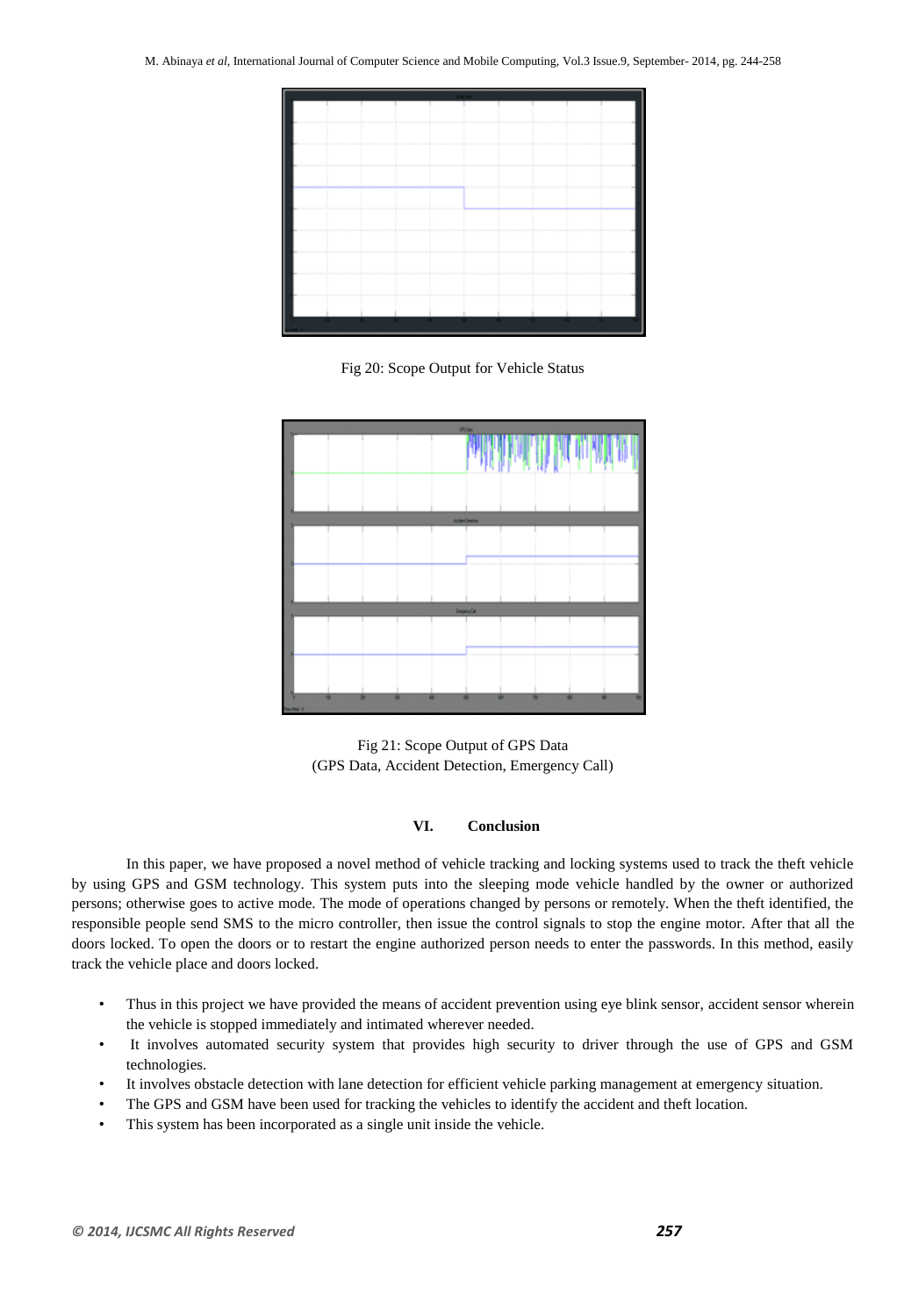

Fig 20: Scope Output for Vehicle Status



Fig 21: Scope Output of GPS Data (GPS Data, Accident Detection, Emergency Call)

# **VI. Conclusion**

In this paper, we have proposed a novel method of vehicle tracking and locking systems used to track the theft vehicle by using GPS and GSM technology. This system puts into the sleeping mode vehicle handled by the owner or authorized persons; otherwise goes to active mode. The mode of operations changed by persons or remotely. When the theft identified, the responsible people send SMS to the micro controller, then issue the control signals to stop the engine motor. After that all the doors locked. To open the doors or to restart the engine authorized person needs to enter the passwords. In this method, easily track the vehicle place and doors locked.

- Thus in this project we have provided the means of accident prevention using eye blink sensor, accident sensor wherein the vehicle is stopped immediately and intimated wherever needed.
- It involves automated security system that provides high security to driver through the use of GPS and GSM technologies.
- It involves obstacle detection with lane detection for efficient vehicle parking management at emergency situation.
- The GPS and GSM have been used for tracking the vehicles to identify the accident and theft location.
- This system has been incorporated as a single unit inside the vehicle.